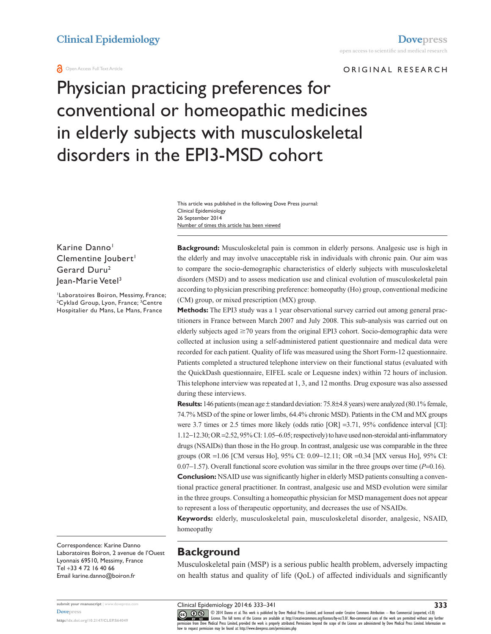#### **a** Open Access Full Text Article

#### ORIGINAL RESEARCH

# Physician practicing preferences for conventional or homeopathic medicines in elderly subjects with musculoskeletal disorders in the EPI3-MSD cohort

Number of times this article has been viewed This article was published in the following Dove Press journal: Clinical Epidemiology 26 September 2014

Karine Danno<sup>1</sup> Clementine Joubert<sup>1</sup> Gerard Duru2 lean-Marie Vetel<sup>3</sup>

1 Laboratoires Boiron, Messimy, France; <sup>2</sup>Cyklad Group, Lyon, France; <sup>3</sup>Centre Hospitalier du Mans, Le Mans, France

**Background:** Musculoskeletal pain is common in elderly persons. Analgesic use is high in the elderly and may involve unacceptable risk in individuals with chronic pain. Our aim was to compare the socio-demographic characteristics of elderly subjects with musculoskeletal disorders (MSD) and to assess medication use and clinical evolution of musculoskeletal pain according to physician prescribing preference: homeopathy (Ho) group, conventional medicine (CM) group, or mixed prescription (MX) group.

**Methods:** The EPI3 study was a 1 year observational survey carried out among general practitioners in France between March 2007 and July 2008. This sub-analysis was carried out on elderly subjects aged  $\geq$ 70 years from the original EPI3 cohort. Socio-demographic data were collected at inclusion using a self-administered patient questionnaire and medical data were recorded for each patient. Quality of life was measured using the Short Form-12 questionnaire. Patients completed a structured telephone interview on their functional status (evaluated with the QuickDash questionnaire, EIFEL scale or Lequesne index) within 72 hours of inclusion. This telephone interview was repeated at 1, 3, and 12 months. Drug exposure was also assessed during these interviews.

Results: 146 patients (mean age  $\pm$  standard deviation: 75.8 $\pm$ 4.8 years) were analyzed (80.1% female, 74.7% MSD of the spine or lower limbs, 64.4% chronic MSD). Patients in the CM and MX groups were 3.7 times or 2.5 times more likely (odds ratio [OR] =3.71, 95% confidence interval [CI]: 1.12−12.30; OR =2.52, 95% CI: 1.05−6.05; respectively) to have used non-steroidal anti-inflammatory drugs (NSAIDs) than those in the Ho group. In contrast, analgesic use was comparable in the three groups (OR =1.06 [CM versus Ho], 95% CI: 0.09−12.11; OR =0.34 [MX versus Ho], 95% CI: 0.07−1.57). Overall functional score evolution was similar in the three groups over time (*P*=0.16).

**Conclusion:** NSAID use was significantly higher in elderly MSD patients consulting a conventional practice general practitioner. In contrast, analgesic use and MSD evolution were similar in the three groups. Consulting a homeopathic physician for MSD management does not appear to represent a loss of therapeutic opportunity, and decreases the use of NSAIDs.

**Keywords:** elderly, musculoskeletal pain, musculoskeletal disorder, analgesic, NSAID, homeopathy

Correspondence: Karine Danno Laboratoires Boiron, 2 avenue de l'Ouest Lyonnais 69510, Messimy, France Tel +33 4 72 16 40 66 Email [karine.danno@boiron.fr](mailto:karine.danno@boiron.fr)

**submit your manuscript** | <www.dovepress.com> **[Dovepress](www.dovepress.com)**

**<http://dx.doi.org/10.2147/CLEP.S64049>**

# **Background**

Musculoskeletal pain (MSP) is a serious public health problem, adversely impacting on health status and quality of life (QoL) of affected individuals and significantly

Clinical Epidemiology 2014:6 333–341

**333**

CO ODI 4 Danno et al. This work is published by Dove Medical Press Limited, and licensed under Creative Commons Attribution - Non Commercial (unported, v3.0)<br> [permission from Dove M](http://www.dovepress.com/permissions.php)edical Press Limited, provided the work i how to request permission may be found at:<http://www.dovepress.com/permissions.php>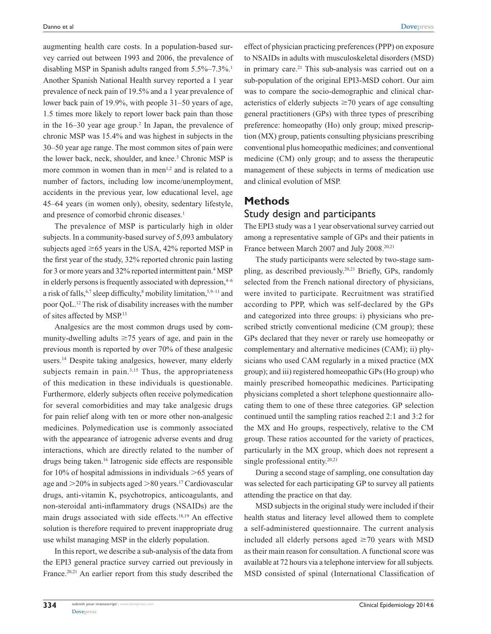augmenting health care costs. In a population-based survey carried out between 1993 and 2006, the prevalence of disabling MSP in Spanish adults ranged from 5.5%–7.3%.<sup>1</sup> Another Spanish National Health survey reported a 1 year prevalence of neck pain of 19.5% and a 1 year prevalence of lower back pain of 19.9%, with people 31–50 years of age, 1.5 times more likely to report lower back pain than those in the  $16-30$  year age group.<sup>2</sup> In Japan, the prevalence of chronic MSP was 15.4% and was highest in subjects in the 30–50 year age range. The most common sites of pain were the lower back, neck, shoulder, and knee.<sup>3</sup> Chronic MSP is more common in women than in men $1,2$  and is related to a number of factors, including low income/unemployment, accidents in the previous year, low educational level, age 45–64 years (in women only), obesity, sedentary lifestyle, and presence of comorbid chronic diseases.<sup>1</sup>

The prevalence of MSP is particularly high in older subjects. In a community-based survey of 5,093 ambulatory subjects aged  $\geq 65$  years in the USA, 42% reported MSP in the first year of the study, 32% reported chronic pain lasting for 3 or more years and 32% reported intermittent pain.<sup>4</sup> MSP in elderly persons is frequently associated with depression, $4-6$ a risk of falls,  $6,7$  sleep difficulty, $8$  mobility limitation,  $5,9-11$  and poor QoL.12 The risk of disability increases with the number of sites affected by MSP.13

Analgesics are the most common drugs used by community-dwelling adults  $\geq$ 75 years of age, and pain in the previous month is reported by over 70% of these analgesic users.<sup>14</sup> Despite taking analgesics, however, many elderly subjects remain in pain.<sup>3,15</sup> Thus, the appropriateness of this medication in these individuals is questionable. Furthermore, elderly subjects often receive polymedication for several comorbidities and may take analgesic drugs for pain relief along with ten or more other non-analgesic medicines. Polymedication use is commonly associated with the appearance of iatrogenic adverse events and drug interactions, which are directly related to the number of drugs being taken.<sup>16</sup> Iatrogenic side effects are responsible for 10% of hospital admissions in individuals  $>65$  years of age and  $>20\%$  in subjects aged  $>80$  years.<sup>17</sup> Cardiovascular drugs, anti-vitamin K, psychotropics, anticoagulants, and non-steroidal anti-inflammatory drugs (NSAIDs) are the main drugs associated with side effects.18,19 An effective solution is therefore required to prevent inappropriate drug use whilst managing MSP in the elderly population.

In this report, we describe a sub-analysis of the data from the EPI3 general practice survey carried out previously in France.<sup>20,21</sup> An earlier report from this study described the

effect of physician practicing preferences (PPP) on exposure to NSAIDs in adults with musculoskeletal disorders (MSD) in primary care.<sup>21</sup> This sub-analysis was carried out on a sub-population of the original EPI3-MSD cohort. Our aim was to compare the socio-demographic and clinical characteristics of elderly subjects  $\geq$  70 years of age consulting general practitioners (GPs) with three types of prescribing preference: homeopathy (Ho) only group; mixed prescription (MX) group, patients consulting physicians prescribing conventional plus homeopathic medicines; and conventional medicine (CM) only group; and to assess the therapeutic management of these subjects in terms of medication use and clinical evolution of MSP.

#### **Methods**

#### Study design and participants

The EPI3 study was a 1 year observational survey carried out among a representative sample of GPs and their patients in France between March 2007 and July 2008.<sup>20,21</sup>

The study participants were selected by two-stage sampling, as described previously.20,21 Briefly, GPs, randomly selected from the French national directory of physicians, were invited to participate. Recruitment was stratified according to PPP, which was self-declared by the GPs and categorized into three groups: i) physicians who prescribed strictly conventional medicine (CM group); these GPs declared that they never or rarely use homeopathy or complementary and alternative medicines (CAM); ii) physicians who used CAM regularly in a mixed practice (MX group); and iii) registered homeopathic GPs (Ho group) who mainly prescribed homeopathic medicines. Participating physicians completed a short telephone questionnaire allocating them to one of these three categories. GP selection continued until the sampling ratios reached 2:1 and 3:2 for the MX and Ho groups, respectively, relative to the CM group. These ratios accounted for the variety of practices, particularly in the MX group, which does not represent a single professional entity.<sup>20,21</sup>

During a second stage of sampling, one consultation day was selected for each participating GP to survey all patients attending the practice on that day.

MSD subjects in the original study were included if their health status and literacy level allowed them to complete a self-administered questionnaire. The current analysis included all elderly persons aged  $\geq$ 70 years with MSD as their main reason for consultation. A functional score was available at 72 hours via a telephone interview for all subjects. MSD consisted of spinal (International Classification of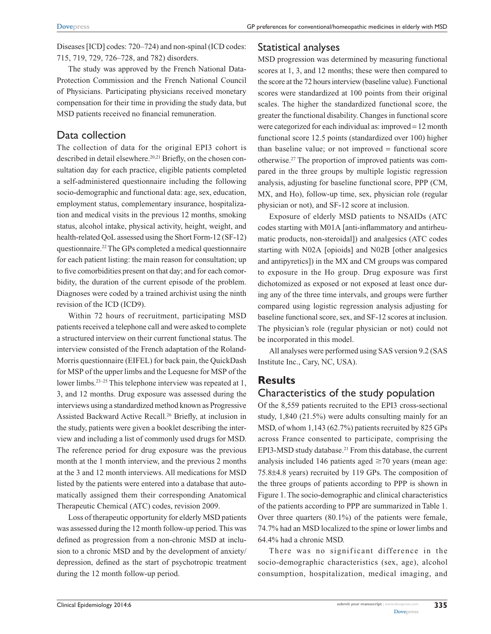Diseases [ICD] codes: 720–724) and non-spinal (ICD codes: 715, 719, 729, 726–728, and 782) disorders.

The study was approved by the French National Data-Protection Commission and the French National Council of Physicians. Participating physicians received monetary compensation for their time in providing the study data, but MSD patients received no financial remuneration.

## Data collection

The collection of data for the original EPI3 cohort is described in detail elsewhere.<sup>20,21</sup> Briefly, on the chosen consultation day for each practice, eligible patients completed a self-administered questionnaire including the following socio-demographic and functional data: age, sex, education, employment status, complementary insurance, hospitalization and medical visits in the previous 12 months, smoking status, alcohol intake, physical activity, height, weight, and health-related QoL assessed using the Short Form-12 (SF-12) questionnaire.22 The GPs completed a medical questionnaire for each patient listing: the main reason for consultation; up to five comorbidities present on that day; and for each comorbidity, the duration of the current episode of the problem. Diagnoses were coded by a trained archivist using the ninth revision of the ICD (ICD9).

Within 72 hours of recruitment, participating MSD patients received a telephone call and were asked to complete a structured interview on their current functional status. The interview consisted of the French adaptation of the Roland-Morris questionnaire (EIFEL) for back pain, the QuickDash for MSP of the upper limbs and the Lequesne for MSP of the lower limbs.<sup>23-25</sup> This telephone interview was repeated at 1, 3, and 12 months. Drug exposure was assessed during the interviews using a standardized method known as Progressive Assisted Backward Active Recall.26 Briefly, at inclusion in the study, patients were given a booklet describing the interview and including a list of commonly used drugs for MSD. The reference period for drug exposure was the previous month at the 1 month interview, and the previous 2 months at the 3 and 12 month interviews. All medications for MSD listed by the patients were entered into a database that automatically assigned them their corresponding Anatomical Therapeutic Chemical (ATC) codes, revision 2009.

Loss of therapeutic opportunity for elderly MSD patients was assessed during the 12 month follow-up period. This was defined as progression from a non-chronic MSD at inclusion to a chronic MSD and by the development of anxiety/ depression, defined as the start of psychotropic treatment during the 12 month follow-up period.

## Statistical analyses

MSD progression was determined by measuring functional scores at 1, 3, and 12 months; these were then compared to the score at the 72 hours interview (baseline value). Functional scores were standardized at 100 points from their original scales. The higher the standardized functional score, the greater the functional disability. Changes in functional score were categorized for each individual as: improved = 12 month functional score 12.5 points (standardized over 100) higher than baseline value; or not improved = functional score otherwise.27 The proportion of improved patients was compared in the three groups by multiple logistic regression analysis, adjusting for baseline functional score, PPP (CM, MX, and Ho), follow-up time, sex, physician role (regular physician or not), and SF-12 score at inclusion.

Exposure of elderly MSD patients to NSAIDs (ATC codes starting with M01A [anti-inflammatory and antirheumatic products, non-steroidal]) and analgesics (ATC codes starting with N02A [opioids] and N02B [other analgesics and antipyretics]) in the MX and CM groups was compared to exposure in the Ho group. Drug exposure was first dichotomized as exposed or not exposed at least once during any of the three time intervals, and groups were further compared using logistic regression analysis adjusting for baseline functional score, sex, and SF-12 scores at inclusion. The physician's role (regular physician or not) could not be incorporated in this model.

All analyses were performed using SAS version 9.2 (SAS Institute Inc., Cary, NC, USA).

# **Results**

## Characteristics of the study population

Of the 8,559 patients recruited to the EPI3 cross-sectional study, 1,840 (21.5%) were adults consulting mainly for an MSD, of whom 1,143 (62.7%) patients recruited by 825 GPs across France consented to participate, comprising the EPI3-MSD study database.<sup>21</sup> From this database, the current analysis included 146 patients aged  $\geq$  70 years (mean age: 75.8±4.8 years) recruited by 119 GPs. The composition of the three groups of patients according to PPP is shown in Figure 1. The socio-demographic and clinical characteristics of the patients according to PPP are summarized in Table 1. Over three quarters (80.1%) of the patients were female, 74.7% had an MSD localized to the spine or lower limbs and 64.4% had a chronic MSD.

There was no significant difference in the socio-demographic characteristics (sex, age), alcohol consumption, hospitalization, medical imaging, and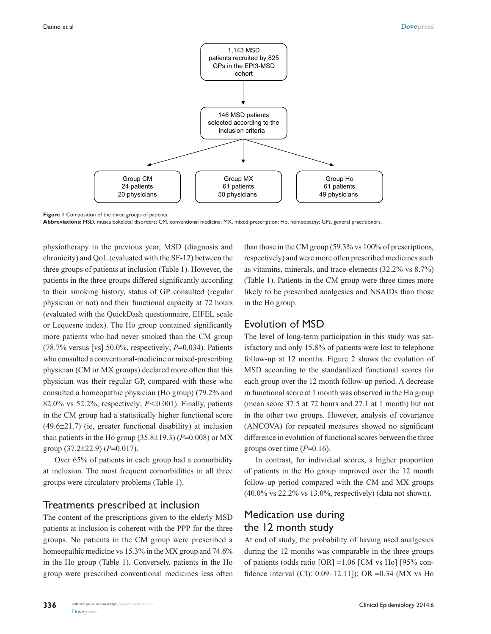

**Figure 1** Composition of the three groups of patients. **Abbreviations:** MSD, musculoskeletal disorders; CM, conventional medicine; MX, mixed prescription; Ho, homeopathy; GPs, general practitioners.

physiotherapy in the previous year, MSD (diagnosis and chronicity) and QoL (evaluated with the SF-12) between the three groups of patients at inclusion (Table 1). However, the patients in the three groups differed significantly according to their smoking history, status of GP consulted (regular physician or not) and their functional capacity at 72 hours (evaluated with the QuickDash questionnaire, EIFEL scale or Lequesne index). The Ho group contained significantly more patients who had never smoked than the CM group (78.7% versus [vs] 50.0%, respectively; *P*=0.034). Patients who consulted a conventional-medicine or mixed-prescribing physician (CM or MX groups) declared more often that this physician was their regular GP, compared with those who consulted a homeopathic physician (Ho group) (79.2% and 82.0% vs 52.2%, respectively;  $P<0.001$ ). Finally, patients in the CM group had a statistically higher functional score (49.6±21.7) (ie, greater functional disability) at inclusion than patients in the Ho group  $(35.8\pm19.3)$  ( $P=0.008$ ) or MX group (37.2±22.9) (*P*=0.017).

Over 65% of patients in each group had a comorbidity at inclusion. The most frequent comorbidities in all three groups were circulatory problems (Table 1).

#### Treatments prescribed at inclusion

The content of the prescriptions given to the elderly MSD patients at inclusion is coherent with the PPP for the three groups. No patients in the CM group were prescribed a homeopathic medicine vs 15.3% in the MX group and 74.6% in the Ho group (Table 1). Conversely, patients in the Ho group were prescribed conventional medicines less often

than those in the CM group (59.3% vs 100% of prescriptions, respectively) and were more often prescribed medicines such as vitamins, minerals, and trace-elements (32.2% vs 8.7%) (Table 1). Patients in the CM group were three times more likely to be prescribed analgesics and NSAIDs than those in the Ho group.

## Evolution of MSD

The level of long-term participation in this study was satisfactory and only 15.8% of patients were lost to telephone follow-up at 12 months. Figure 2 shows the evolution of MSD according to the standardized functional scores for each group over the 12 month follow-up period. A decrease in functional score at 1 month was observed in the Ho group (mean score 37.5 at 72 hours and 27.1 at 1 month) but not in the other two groups. However, analysis of covariance (ANCOVA) for repeated measures showed no significant difference in evolution of functional scores between the three groups over time  $(P=0.16)$ .

In contrast, for individual scores, a higher proportion of patients in the Ho group improved over the 12 month follow-up period compared with the CM and MX groups (40.0% vs 22.2% vs 13.0%, respectively) (data not shown).

# Medication use during the 12 month study

At end of study, the probability of having used analgesics during the 12 months was comparable in the three groups of patients (odds ratio [OR] =1.06 [CM vs Ho] [95% confidence interval (CI): 0.09–12.11]); OR =0.34 (MX vs Ho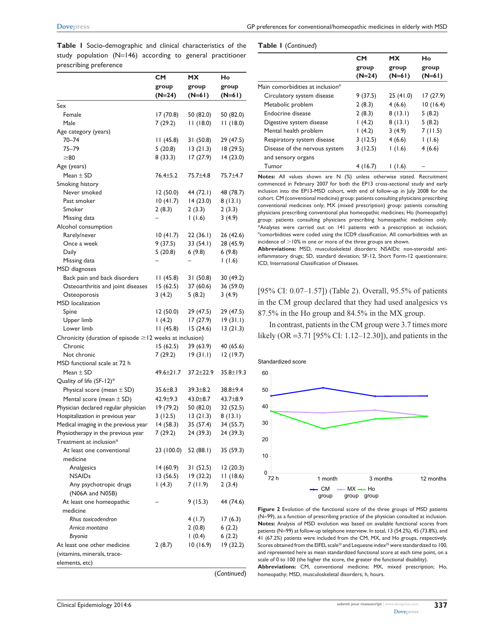|  |                        | Table I Socio-demographic and clinical characteristics of the |  |  |  |  |
|--|------------------------|---------------------------------------------------------------|--|--|--|--|
|  |                        | study population $(N=146)$ according to general practitioner  |  |  |  |  |
|  | prescribing preference |                                                               |  |  |  |  |

|                                                               | <b>CM</b>            | <b>MX</b>             | Ho                   |
|---------------------------------------------------------------|----------------------|-----------------------|----------------------|
|                                                               | group                | group                 | group                |
|                                                               | $(N=24)$             | $(N=61)$              | $(N=61)$             |
| Sex                                                           |                      |                       |                      |
| Female                                                        | 17(70.8)             | 50 (82.0)             | 50 (82.0)            |
| Male                                                          | 7(29.2)              | 11(18.0)              | 11(18.0)             |
| Age category (years)                                          |                      |                       |                      |
| $70 - 74$                                                     | 11(45.8)             | 31 (50.8)             | 29 (47.5)            |
| 75–79                                                         | 5(20.8)              | 13(21.3)              | 18(29.5)             |
| $\geq 80$                                                     | 8 (33.3)             | 17(27.9)              | 14(23.0)             |
| Age (years)                                                   |                      |                       |                      |
| Mean $\pm$ SD                                                 | $76.4 \pm 5.2$       | 75.7±4.8              | 75.7±4.7             |
| Smoking history<br>Never smoked                               |                      |                       |                      |
| Past smoker                                                   | 12(50.0)<br>10(41.7) | 44 (72.1)<br>14(23.0) | 48 (78.7)<br>8(13.1) |
| Smoker                                                        | 2(8.3)               | 2(3.3)                | 2(3.3)               |
| Missing data                                                  |                      | (1.6)                 | 3(4.9)               |
| Alcohol consumption                                           |                      |                       |                      |
| Rarely/never                                                  | 10(41.7)             | 22 (36.1)             | 26 (42.6)            |
| Once a week                                                   | 9(37.5)              | 33 (54.1)             | 28 (45.9)            |
| Daily                                                         | 5(20.8)              | 6(9.8)                | 6(9.8)               |
| Missing data                                                  |                      |                       | 1(1.6)               |
| MSD diagnoses                                                 |                      |                       |                      |
| Back pain and back disorders                                  | 11(45.8)             | 31(50.8)              | 30 (49.2)            |
| Osteoarthritis and joint diseases                             | 15(62.5)             | 37 (60.6)             | 36 (59.0)            |
| Osteoporosis                                                  | 3(4.2)               | 5(8.2)                | 3(4.9)               |
| <b>MSD</b> localization                                       |                      |                       |                      |
| Spine                                                         | 12(50.0)             | 29 (47.5)             | 29 (47.5)            |
| Upper limb                                                    | (4.2)                | 17(27.9)              | 19(31.1)             |
| Lower limb                                                    | 11(45.8)             | 15(24.6)              | 13(21.3)             |
| Chronicity (duration of episode $\geq$ 12 weeks at inclusion) |                      |                       |                      |
| Chronic                                                       | 15(62.5)             | 39(63.9)              | 40 (65.6)            |
| Not chronic<br>MSD functional scale at 72 h                   | 7 (29.2)             | 19(31.1)              | 12(19.7)             |
| Mean $\pm$ SD                                                 | 49.6±21.7            | $37.2 \pm 22.9$       | $35.8 \pm 19.3$      |
| Quality of life (SF-12)*                                      |                      |                       |                      |
| Physical score (mean $\pm$ SD)                                | $35.6 \pm 8.3$       | $39.3 \pm 8.2$        | $38.8 \pm 9.4$       |
| Mental score (mean $\pm$ SD)                                  | $42.9 \pm 9.3$       | 43.0±8.7              | 43.7±8.9             |
| Physician declared regular physician                          | 19(79.2)             | 50 (82.0)             | 32 (52.5)            |
| Hospitalization in previous year                              | 3(12.5)              | 13(21.3)              | 8(13.1)              |
| Medical imaging in the previous year                          | 14 (58.3)            | 35 (57.4)             | 34 (55.7)            |
| Physiotherapy in the previous year                            | 7(29.2)              | 24 (39.3)             | 24 (39.3)            |
| Treatment at inclusion*                                       |                      |                       |                      |
| At least one conventional                                     | 23 (100.0)           | 52 (88.1)             | 35 (59.3)            |
| medicine                                                      |                      |                       |                      |
| Analgesics                                                    | 14 (60.9)            | 31 (52.5)             | 12(20.3)             |
| <b>NSAIDs</b>                                                 | 13 (56.5)            | 19 (32.2)             | 11(18.6)             |
| Any psychotropic drugs                                        | (4.3)                | 7(11.9)               | 2(3.4)               |
| (N06A and N05B)                                               |                      |                       |                      |
| At least one homeopathic                                      |                      | 9(15.3)               | 44 (74.6)            |
| medicine                                                      |                      |                       |                      |
| Rhus toxicodendron                                            |                      | 4(1.7)                | 17(6.3)              |
| Arnica montana                                                |                      | 2(0.8)                | 6(2.2)               |
| Bryonia                                                       |                      | (0.4)                 | 6(2.2)               |
| At least one other medicine                                   | 2(8.7)               | 10(16.9)              | 19(32.2)             |
| (vitamins, minerals, trace-                                   |                      |                       |                      |
| elements, etc)                                                |                      |                       |                      |
|                                                               |                      |                       | (Continued)          |

**Table 1** (*Continued*)

|                                  | <b>CM</b><br>group<br>$(N=24)$ | <b>MX</b><br>group<br>$(N=61)$ | Ho<br>group<br>$(N=61)$ |
|----------------------------------|--------------------------------|--------------------------------|-------------------------|
| Main comorbidities at inclusion# |                                |                                |                         |
| Circulatory system disease       | 9(37.5)                        | 25(41.0)                       | 17(27.9)                |
| Metabolic problem                | 2(8.3)                         | 4(6.6)                         | 10(16.4)                |
| Endocrine disease                | 2(8.3)                         | 8(13.1)                        | 5(8.2)                  |
| Digestive system disease         | (4.2)                          | 8(13.1)                        | 5(8.2)                  |
| Mental health problem            | (4.2)                          | 3(4.9)                         | 7(11.5)                 |
| Respiratory system disease       | 3(12.5)                        | 4(6.6)                         | (1.6)                   |
| Disease of the nervous system    | 3(12.5)                        | (1.6)                          | 4(6.6)                  |
| and sensory organs               |                                |                                |                         |
| Tumor                            | 4(16.7)                        | 1(1.6)                         |                         |

**Notes:** All values shown are N (%) unless otherwise stated. Recruitment commenced in February 2007 for both the EP13 cross-sectional study and early inclusion into the EP13-MSD cohort, with end of follow-up in July 2008 for the cohort. CM (conventional medicine) group: patients consulting physicians prescribing conventional medicines only; MX (mixed prescription) group: patients consulting physicians prescribing conventional plus homeopathic medicines; Ho (homeopathy) group: patients consulting physicians prescribing homeopathic medicines only. \*Analyses were carried out on 141 patients with a prescription at inclusion; #comorbidities were coded using the ICD9 classification. All comorbidities with an incidence of  $>$  10% in one or more of the three groups are shown.

**Abbreviations:** MSD, musculoskeletal disorders; NSAIDs: non-steroidal antiinflammatory drugs; SD, standard deviation; SF-12, Short Form-12 questionnaire; ICD, International Classification of Diseases.

[95% CI: 0.07–1.57]) (Table 2). Overall, 95.5% of patients in the CM group declared that they had used analgesics vs 87.5% in the Ho group and 84.5% in the MX group.

In contrast, patients in the CM group were 3.7 times more likely (OR =3.71 [95% CI: 1.12–12.30]), and patients in the



**Figure 2** Evolution of the functional score of the three groups of MSD patients (N=99), as a function of prescribing practice of the physician consulted at inclusion. **Notes:** Analysis of MSD evolution was based on available functional scores from patients (N=99) at follow-up telephone interview. In total, 13 (54.2%), 45 (73.8%), and 41 (67.2%) patients were included from the CM, MX, and Ho groups, respectively. Scores obtained from the EIFEL scale<sup>23</sup> and Lequesne index<sup>25</sup> were standardized to 100, and represented here as mean standardized functional score at each time point, on a scale of 0 to 100 (the higher the score, the greater the functional disability). **Abbreviations:** CM, conventional medicine; MX, mixed prescription; Ho, homeopathy; MSD, musculoskeletal disorders; h, hours.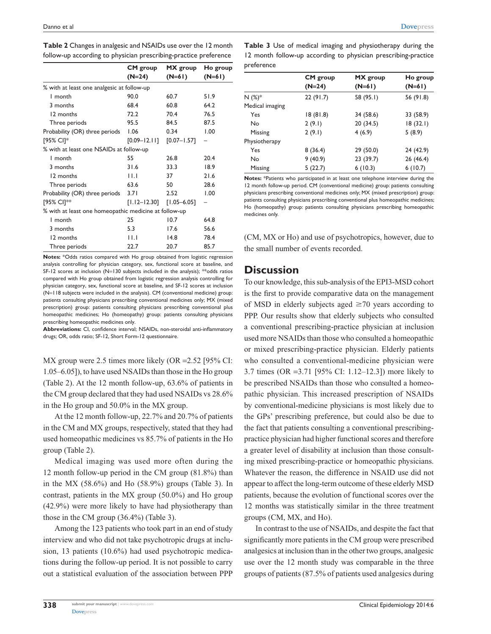| follow-up according to privation prescribing-practice preference |                  |                 |          |  |
|------------------------------------------------------------------|------------------|-----------------|----------|--|
|                                                                  | CM group         | MX group        | Ho group |  |
|                                                                  | $(N=24)$         | $(N=61)$        | $(N=61)$ |  |
| % with at least one analgesic at follow-up                       |                  |                 |          |  |
| I month                                                          | 90.0             | 60.7            | 51.9     |  |
| 3 months                                                         | 68.4             | 60.8            | 64.2     |  |
| 12 months                                                        | 72.2             | 70.4            | 76.5     |  |
| Three periods                                                    | 95.5             | 84.5            | 87.5     |  |
| Probability (OR) three periods                                   | 1.06             | 0.34            | 1.00     |  |
| [95% CI]*                                                        | $[0.09 - 12.11]$ | $[0.07 - 1.57]$ |          |  |
| % with at least one NSAIDs at follow-up                          |                  |                 |          |  |
| I month                                                          | 55               | 26.8            | 20.4     |  |
| 3 months                                                         | 31.6             | 33.3            | 18.9     |  |
| 12 months                                                        | $  \  $          | 37              | 21.6     |  |
| Three periods                                                    | 63.6             | 50              | 28.6     |  |
| Probability (OR) three periods                                   | 3.71             | 2.52            | 1.00     |  |
| [95% CI]**                                                       | $[1.12 - 12.30]$ | $[1.05 - 6.05]$ |          |  |
| % with at least one homeopathic medicine at follow-up            |                  |                 |          |  |
| I month                                                          | 25               | 10.7            | 64.8     |  |
| 3 months                                                         | 5.3              | 17.6            | 56.6     |  |
| 12 months                                                        | $  \  $          | 14.8            | 78.4     |  |
| Three periods                                                    | 22.7             | 20.7            | 85.7     |  |

**Table 2** Changes in analgesic and NSAIDs use over the 12 month follow-up according to physician prescribing-practice preference

**Notes:** \*Odds ratios compared with Ho group obtained from logistic regression analysis controlling for physician category, sex, functional score at baseline, and SF-12 scores at inclusion (N=130 subjects included in the analysis); \*\*odds ratios compared with Ho group obtained from logistic regression analysis controlling for physician category, sex, functional score at baseline, and SF-12 scores at inclusion (N=118 subjects were included in the analysis). CM (conventional medicine) group: patients consulting physicians prescribing conventional medicines only; MX (mixed prescription) group: patients consulting physicians prescribing conventional plus homeopathic medicines; Ho (homeopathy) group: patients consulting physicians prescribing homeopathic medicines only.

**Abbreviations:** CI, confidence interval; NSAIDs, non-steroidal anti-inflammatory drugs; OR, odds ratio; SF-12, Short Form-12 questionnaire.

MX group were 2.5 times more likely (OR =2.52 [95% CI: 1.05–6.05]), to have used NSAIDs than those in the Ho group (Table 2). At the 12 month follow-up, 63.6% of patients in the CM group declared that they had used NSAIDs vs 28.6% in the Ho group and 50.0% in the MX group.

At the 12 month follow-up, 22.7% and 20.7% of patients in the CM and MX groups, respectively, stated that they had used homeopathic medicines vs 85.7% of patients in the Ho group (Table 2).

Medical imaging was used more often during the 12 month follow-up period in the CM group (81.8%) than in the MX  $(58.6\%)$  and Ho  $(58.9\%)$  groups (Table 3). In contrast, patients in the MX group (50.0%) and Ho group (42.9%) were more likely to have had physiotherapy than those in the CM group (36.4%) (Table 3).

Among the 123 patients who took part in an end of study interview and who did not take psychotropic drugs at inclusion, 13 patients (10.6%) had used psychotropic medications during the follow-up period. It is not possible to carry out a statistical evaluation of the association between PPP

**Table 3** Use of medical imaging and physiotherapy during the 12 month follow-up according to physician prescribing-practice preference

|                 | <b>CM</b> group | MX group  | Ho group  |  |
|-----------------|-----------------|-----------|-----------|--|
|                 | $(N=24)$        | $(N=61)$  | $(N=61)$  |  |
| $N(%)^*$        | 22(91.7)        | 58 (95.1) | 56 (91.8) |  |
| Medical imaging |                 |           |           |  |
| Yes             | 18(81.8)        | 34 (58.6) | 33 (58.9) |  |
| No              | 2(9.1)          | 20 (34.5) | 18(32.1)  |  |
| Missing         | 2(9.1)          | 4(6.9)    | 5(8.9)    |  |
| Physiotherapy   |                 |           |           |  |
| Yes             | 8(36.4)         | 29 (50.0) | 24 (42.9) |  |
| No              | 9(40.9)         | 23 (39.7) | 26 (46.4) |  |
| Missing         | 5(22.7)         | 6(10.3)   | 6(10.7)   |  |

**Notes:** \*Patients who participated in at least one telephone interview during the 12 month follow-up period. CM (conventional medicine) group: patients consulting physicians prescribing conventional medicines only; MX (mixed prescription) group: patients consulting physicians prescribing conventional plus homeopathic medicines; Ho (homeopathy) group: patients consulting physicians prescribing homeopathic medicines only.

(CM, MX or Ho) and use of psychotropics, however, due to the small number of events recorded.

## **Discussion**

To our knowledge, this sub-analysis of the EPI3-MSD cohort is the first to provide comparative data on the management of MSD in elderly subjects aged  $\geq$ 70 years according to PPP. Our results show that elderly subjects who consulted a conventional prescribing-practice physician at inclusion used more NSAIDs than those who consulted a homeopathic or mixed prescribing-practice physician. Elderly patients who consulted a conventional-medicine physician were 3.7 times (OR =3.71 [95% CI: 1.12–12.3]) more likely to be prescribed NSAIDs than those who consulted a homeopathic physician. This increased prescription of NSAIDs by conventional-medicine physicians is most likely due to the GPs' prescribing preference, but could also be due to the fact that patients consulting a conventional prescribingpractice physician had higher functional scores and therefore a greater level of disability at inclusion than those consulting mixed prescribing-practice or homeopathic physicians. Whatever the reason, the difference in NSAID use did not appear to affect the long-term outcome of these elderly MSD patients, because the evolution of functional scores over the 12 months was statistically similar in the three treatment groups (CM, MX, and Ho).

In contrast to the use of NSAIDs, and despite the fact that significantly more patients in the CM group were prescribed analgesics at inclusion than in the other two groups, analgesic use over the 12 month study was comparable in the three groups of patients (87.5% of patients used analgesics during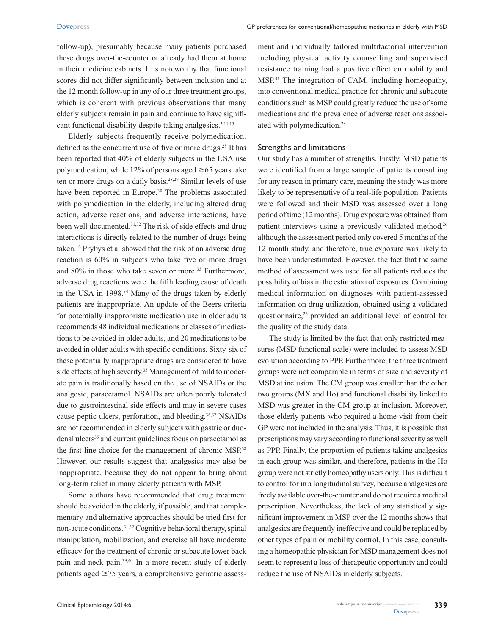follow-up), presumably because many patients purchased these drugs over-the-counter or already had them at home in their medicine cabinets. It is noteworthy that functional scores did not differ significantly between inclusion and at the 12 month follow-up in any of our three treatment groups, which is coherent with previous observations that many elderly subjects remain in pain and continue to have significant functional disability despite taking analgesics.<sup>3,11,15</sup>

Elderly subjects frequently receive polymedication, defined as the concurrent use of five or more drugs.<sup>28</sup> It has been reported that 40% of elderly subjects in the USA use polymedication, while 12% of persons aged  $\geq$  65 years take ten or more drugs on a daily basis.28,29 Similar levels of use have been reported in Europe.<sup>30</sup> The problems associated with polymedication in the elderly, including altered drug action, adverse reactions, and adverse interactions, have been well documented.31,32 The risk of side effects and drug interactions is directly related to the number of drugs being taken.16 Prybys et al showed that the risk of an adverse drug reaction is 60% in subjects who take five or more drugs and 80% in those who take seven or more.<sup>33</sup> Furthermore, adverse drug reactions were the fifth leading cause of death in the USA in 1998.<sup>34</sup> Many of the drugs taken by elderly patients are inappropriate. An update of the Beers criteria for potentially inappropriate medication use in older adults recommends 48 individual medications or classes of medications to be avoided in older adults, and 20 medications to be avoided in older adults with specific conditions. Sixty-six of these potentially inappropriate drugs are considered to have side effects of high severity.<sup>35</sup> Management of mild to moderate pain is traditionally based on the use of NSAIDs or the analgesic, paracetamol. NSAIDs are often poorly tolerated due to gastrointestinal side effects and may in severe cases cause peptic ulcers, perforation, and bleeding.36,37 NSAIDs are not recommended in elderly subjects with gastric or duodenal ulcers<sup>35</sup> and current guidelines focus on paracetamol as the first-line choice for the management of chronic MSP.38 However, our results suggest that analgesics may also be inappropriate, because they do not appear to bring about long-term relief in many elderly patients with MSP.

Some authors have recommended that drug treatment should be avoided in the elderly, if possible, and that complementary and alternative approaches should be tried first for non-acute conditions.31,32 Cognitive behavioral therapy, spinal manipulation, mobilization, and exercise all have moderate efficacy for the treatment of chronic or subacute lower back pain and neck pain.39,40 In a more recent study of elderly patients aged  $\geq$ 75 years, a comprehensive geriatric assessment and individually tailored multifactorial intervention including physical activity counselling and supervised resistance training had a positive effect on mobility and MSP.41 The integration of CAM, including homeopathy, into conventional medical practice for chronic and subacute conditions such as MSP could greatly reduce the use of some medications and the prevalence of adverse reactions associated with polymedication.28

#### Strengths and limitations

Our study has a number of strengths. Firstly, MSD patients were identified from a large sample of patients consulting for any reason in primary care, meaning the study was more likely to be representative of a real-life population. Patients were followed and their MSD was assessed over a long period of time (12 months). Drug exposure was obtained from patient interviews using a previously validated method,<sup>26</sup> although the assessment period only covered 5 months of the 12 month study, and therefore, true exposure was likely to have been underestimated. However, the fact that the same method of assessment was used for all patients reduces the possibility of bias in the estimation of exposures. Combining medical information on diagnoses with patient-assessed information on drug utilization, obtained using a validated questionnaire,<sup>26</sup> provided an additional level of control for the quality of the study data.

The study is limited by the fact that only restricted measures (MSD functional scale) were included to assess MSD evolution according to PPP. Furthermore, the three treatment groups were not comparable in terms of size and severity of MSD at inclusion. The CM group was smaller than the other two groups (MX and Ho) and functional disability linked to MSD was greater in the CM group at inclusion. Moreover, those elderly patients who required a home visit from their GP were not included in the analysis. Thus, it is possible that prescriptions may vary according to functional severity as well as PPP. Finally, the proportion of patients taking analgesics in each group was similar, and therefore, patients in the Ho group were not strictly homeopathy users only. This is difficult to control for in a longitudinal survey, because analgesics are freely available over-the-counter and do not require a medical prescription. Nevertheless, the lack of any statistically significant improvement in MSP over the 12 months shows that analgesics are frequently ineffective and could be replaced by other types of pain or mobility control. In this case, consulting a homeopathic physician for MSD management does not seem to represent a loss of therapeutic opportunity and could reduce the use of NSAIDs in elderly subjects.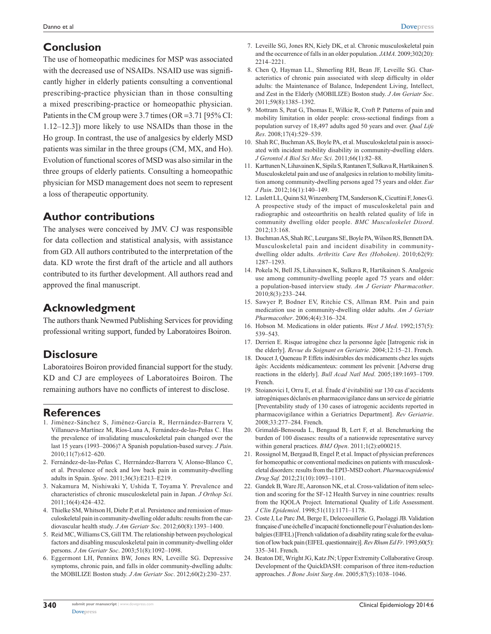# **Conclusion**

The use of homeopathic medicines for MSP was associated with the decreased use of NSAIDs. NSAID use was significantly higher in elderly patients consulting a conventional prescribing-practice physician than in those consulting a mixed prescribing-practice or homeopathic physician. Patients in the CM group were 3.7 times (OR =3.71 [95% CI: 1.12–12.3]) more likely to use NSAIDs than those in the Ho group. In contrast, the use of analgesics by elderly MSD patients was similar in the three groups (CM, MX, and Ho). Evolution of functional scores of MSD was also similar in the three groups of elderly patients. Consulting a homeopathic physician for MSD management does not seem to represent a loss of therapeutic opportunity.

# **Author contributions**

The analyses were conceived by JMV. CJ was responsible for data collection and statistical analysis, with assistance from GD. All authors contributed to the interpretation of the data. KD wrote the first draft of the article and all authors contributed to its further development. All authors read and approved the final manuscript.

# **Acknowledgment**

The authors thank Newmed Publishing Services for providing professional writing support, funded by Laboratoires Boiron.

# **Disclosure**

Laboratoires Boiron provided financial support for the study. KD and CJ are employees of Laboratoires Boiron. The remaining authors have no conflicts of interest to disclose.

### **References**

- 1. Jiménez-Sánchez S, Jiménez-García R, Herrnández-Barrera V, Villanueva-Martínez M, Ríos-Luna A, Fernández-de-las-Peñas C. Has the prevalence of invalidating musculoskeletal pain changed over the last 15 years (1993–2006)? A Spanish population-based survey. *J Pain*. 2010;11(7):612–620.
- 2. Fernández-de-las-Peñas C, Herrnández-Barrera V, Alonso-Blanco C, et al. Prevalence of neck and low back pain in community-dwelling adults in Spain. *Spine*. 2011;36(3):E213–E219.
- 3. Nakamura M, Nishiwaki Y, Ushida T, Toyama Y. Prevalence and characteristics of chronic musculoskeletal pain in Japan. *J Orthop Sci*. 2011;16(4):424–432.
- 4. Thielke SM, Whitson H, Diehr P, et al. Persistence and remission of musculoskeletal pain in community-dwelling older adults: results from the cardiovascular health study. *J Am Geriatr Soc*. 2012;60(8):1393–1400.
- 5. Reid MC, Williams CS, Gill TM. The relationship between psychological factors and disabling musculoskeletal pain in community-dwelling older persons. *J Am Geriatr Soc*. 2003;51(8):1092–1098.
- 6. Eggermont LH, Penninx BW, Jones RN, Leveille SG. Depressive symptoms, chronic pain, and falls in older community-dwelling adults: the MOBILIZE Boston study. *J Am Geriatr Soc*. 2012;60(2):230–237.
- 7. Leveille SG, Jones RN, Kiely DK, et al. Chronic musculoskeletal pain and the occurrence of falls in an older population. *JAMA*. 2009;302(20): 2214–2221.
- 8. Chen Q, Hayman LL, Shmerling RH, Bean JF, Leveille SG. Characteristics of chronic pain associated with sleep difficulty in older adults: the Maintenance of Balance, Independent Living, Intellect, and Zest in the Elderly (MOBILIZE) Boston study. *J Am Geriatr Soc*. 2011;59(8):1385–1392.
- 9. Mottram S, Peat G, Thomas E, Wilkie R, Croft P. Patterns of pain and mobility limitation in older people: cross-sectional findings from a population survey of 18,497 adults aged 50 years and over. *Qual Life Res*. 2008;17(4):529–539.
- 10. Shah RC, Buchman AS, Boyle PA, et al. Musculoskeletal pain is associated with incident mobility disability in community-dwelling elders. *J Gerontol A Biol Sci Mec Sci*. 2011;66(1):82–88.
- 11. Karttunen N, Lihavainen K, Sipila S, Rantanen T, Sulkava R, Hartikainen S. Musculoskeletal pain and use of analgesics in relation to mobility limitation among community-dwelling persons aged 75 years and older. *Eur J Pain*. 2012;16(1):140–149.
- 12. Laslett LL, Quinn SJ, Winzenberg TM, Sanderson K, Cicuttini F, Jones G. A prospective study of the impact of musculoskeletal pain and radiographic and osteoarthritis on health related quality of life in community dwelling older people. *BMC Musculoskelet Disord*. 2012;13:168.
- 13. Buchman AS, Shah RC, Leurgans SE, Boyle PA, Wilson RS, Bennett DA. Musculoskeletal pain and incident disability in communitydwelling older adults. *Arthritis Care Res (Hoboken)*. 2010;62(9): 1287–1293.
- 14. Pokela N, Bell JS, Lihavainen K, Sulkava R, Hartikainen S. Analgesic use among community-dwelling people aged 75 years and older: a population-based interview study. *Am J Geriatr Pharmacother*. 2010;8(3):233–244.
- 15. Sawyer P, Bodner EV, Ritchie CS, Allman RM. Pain and pain medication use in community-dwelling older adults. *Am J Geriatr Pharmacother*. 2006;4(4):316–324.
- 16. Hobson M. Medications in older patients. *West J Med*. 1992;157(5): 539–543.
- 17. Derrien E. Risque iatrogène chez la personne âgée [Iatrogenic risk in the elderly]. *Revue du Soignant en Geriatrie*. 2004;12:15–21. French.
- 18. Doucet J, Queneau P. Effets indésirables des médicaments chez les sujets âgés: Accidents médicamenteux: comment les prévenir. [Adverse drug reactions in the elderly]. *Bull Acad Natl Med*. 2005;189:1693–1709. French.
- 19. Stoianovici I, Orru E, et al. Étude d'évitabilité sur 130 cas d'accidents iatrogéniques déclarés en pharmacovigilance dans un service de gériatrie [Preventability study of 130 cases of iatrogenic accidents reported in pharmacovigilance within a Geriatrics Department]. *Rev Geriatrie*. 2008;33:277–284. French.
- 20. Grimaldi-Bensouda L, Bengaud B, Lert F, et al. Benchmarking the burden of 100 diseases: results of a nationwide representative survey within general practices. *BMJ Open*. 2011;1(2):e000215.
- 21. Rossignol M, Bergaud B, Engel P, et al. Impact of physician preferences for homeopathic or conventional medicines on patients with musculoskeletal disorders: results from the EPI3-MSD cohort. *Pharmacoepidemiol Drug Saf.* 2012;21(10):1093–1101.
- 22. Gandek B, Ware JE, Aaronson NK, et al. Cross-validation of item selection and scoring for the SF-12 Health Survey in nine countries: results from the IQOLA Project. International Quality of Life Assessment. *J Clin Epidemiol*. 1998;51(11):1171–1178.
- 23. Coste J, Le Parc JM, Berge E, Delecoeuillerie G, Paolaggi JB. Validation française d'une échelle d'incapacité fonctionnelle pour l'évaluation des lombalgies (EIFEL) [French validation of a disability rating scale for the evaluation of low back pain (EIFEL questionnaire)]. *Rev Rhum Ed Fr*. 1993;60(5): 335–341. French.
- 24. Beaton DE, Wright JG, Katz JN; Upper Extremity Collaborative Group. Development of the QuickDASH: comparison of three item-reduction approaches. *J Bone Joint Surg Am*. 2005;87(5):1038–1046.